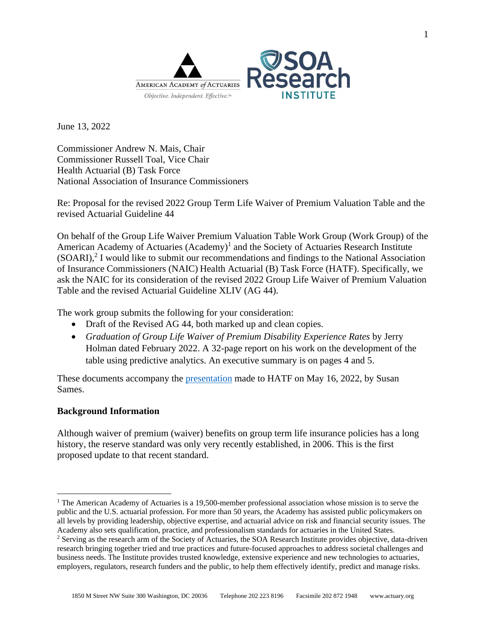

June 13, 2022

Commissioner Andrew N. Mais, Chair Commissioner Russell Toal, Vice Chair Health Actuarial (B) Task Force National Association of Insurance Commissioners

Re: Proposal for the revised 2022 Group Term Life Waiver of Premium Valuation Table and the revised Actuarial Guideline 44

On behalf of the Group Life Waiver Premium Valuation Table Work Group (Work Group) of the American Academy of Actuaries (Academy)<sup>1</sup> and the Society of Actuaries Research Institute  $(SOARI)<sup>2</sup>$  I would like to submit our recommendations and findings to the National Association of Insurance Commissioners (NAIC) Health Actuarial (B) Task Force (HATF). Specifically, we ask the NAIC for its consideration of the revised 2022 Group Life Waiver of Premium Valuation Table and the revised Actuarial Guideline XLIV (AG 44).

The work group submits the following for your consideration:

- Draft of the Revised AG 44, both marked up and clean copies.
- *Graduation of Group Life Waiver of Premium Disability Experience Rates by Jerry* Holman dated February 2022. A 32-page report on his work on the development of the table using predictive analytics. An executive summary is on pages 4 and 5.

These documents accompany the [presentation](https://www.actuary.org/sites/default/files/2022-05/Academy_SOARI_GLWP_Presentation_to_HATF_5.16.22_%28FINAL%29.pdf) made to HATF on May 16, 2022, by Susan Sames.

## **Background Information**

Although waiver of premium (waiver) benefits on group term life insurance policies has a long history, the reserve standard was only very recently established, in 2006. This is the first proposed update to that recent standard.

<sup>&</sup>lt;sup>1</sup> The American Academy of Actuaries is a 19,500-member professional association whose mission is to serve the public and the U.S. actuarial profession. For more than 50 years, the Academy has assisted public policymakers on all levels by providing leadership, objective expertise, and actuarial advice on risk and financial security issues. The Academy also sets qualification, practice, and professionalism standards for actuaries in the United States.

<sup>&</sup>lt;sup>2</sup> Serving as the research arm of the Society of Actuaries, the SOA Research Institute provides objective, data-driven research bringing together tried and true practices and future-focused approaches to address societal challenges and business needs. The Institute provides trusted knowledge, extensive experience and new technologies to actuaries, employers, regulators, research funders and the public, to help them effectively identify, predict and manage risks.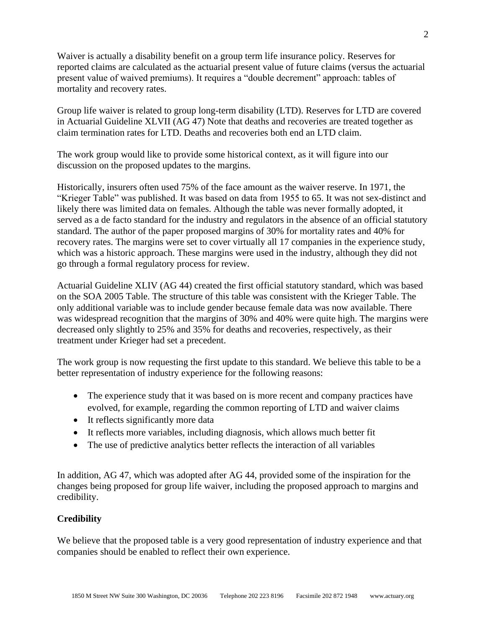Waiver is actually a disability benefit on a group term life insurance policy. Reserves for reported claims are calculated as the actuarial present value of future claims (versus the actuarial present value of waived premiums). It requires a "double decrement" approach: tables of mortality and recovery rates.

Group life waiver is related to group long-term disability (LTD). Reserves for LTD are covered in Actuarial Guideline XLVII (AG 47) Note that deaths and recoveries are treated together as claim termination rates for LTD. Deaths and recoveries both end an LTD claim.

The work group would like to provide some historical context, as it will figure into our discussion on the proposed updates to the margins.

Historically, insurers often used 75% of the face amount as the waiver reserve. In 1971, the "Krieger Table" was published. It was based on data from 1955 to 65. It was not sex-distinct and likely there was limited data on females. Although the table was never formally adopted, it served as a de facto standard for the industry and regulators in the absence of an official statutory standard. The author of the paper proposed margins of 30% for mortality rates and 40% for recovery rates. The margins were set to cover virtually all 17 companies in the experience study, which was a historic approach. These margins were used in the industry, although they did not go through a formal regulatory process for review.

Actuarial Guideline XLIV (AG 44) created the first official statutory standard, which was based on the SOA 2005 Table. The structure of this table was consistent with the Krieger Table. The only additional variable was to include gender because female data was now available. There was widespread recognition that the margins of 30% and 40% were quite high. The margins were decreased only slightly to 25% and 35% for deaths and recoveries, respectively, as their treatment under Krieger had set a precedent.

The work group is now requesting the first update to this standard. We believe this table to be a better representation of industry experience for the following reasons:

- The experience study that it was based on is more recent and company practices have evolved, for example, regarding the common reporting of LTD and waiver claims
- It reflects significantly more data
- It reflects more variables, including diagnosis, which allows much better fit
- The use of predictive analytics better reflects the interaction of all variables

In addition, AG 47, which was adopted after AG 44, provided some of the inspiration for the changes being proposed for group life waiver, including the proposed approach to margins and credibility.

## **Credibility**

We believe that the proposed table is a very good representation of industry experience and that companies should be enabled to reflect their own experience.